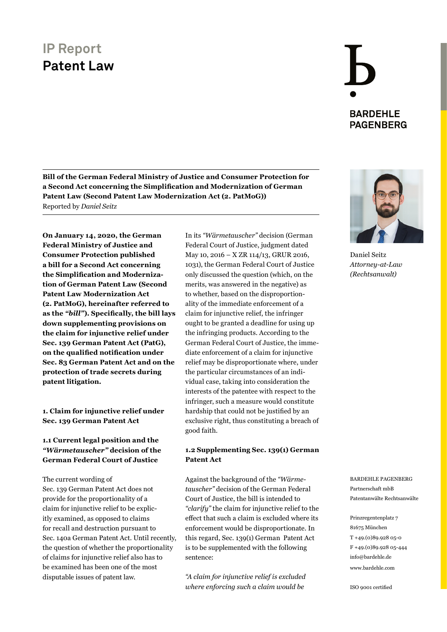**Bill of the German Federal Ministry of Justice and Consumer Protection for a Second Act concerning the Simplification and Modernization of German Patent Law (Second Patent Law Modernization Act (2. PatMoG))** Reported by *Daniel Seitz*

**On January 14, 2020, the German Federal Ministry of Justice and Consumer Protection published a bill for a Second Act concerning the Simplification and Modernization of German Patent Law (Second Patent Law Modernization Act (2. PatMoG), hereinafter referred to as the** *"bill"***). Specifically, the bill lays down supplementing provisions on the claim for injunctive relief under Sec. 139 German Patent Act (PatG), on the qualified notification under Sec. 83 German Patent Act and on the protection of trade secrets during patent litigation.**

**1. Claim for injunctive relief under Sec. 139 German Patent Act**

#### **1.1 Current legal position and the**  *"Wärmetauscher"* **decision of the German Federal Court of Justice**

The current wording of Sec. 139 German Patent Act does not provide for the proportionality of a claim for injunctive relief to be explicitly examined, as opposed to claims for recall and destruction pursuant to Sec. 140a German Patent Act. Until recently, the question of whether the proportionality of claims for injunctive relief also has to be examined has been one of the most disputable issues of patent law.

In its *"Wärmetauscher"* decision (German Federal Court of Justice, judgment dated May 10, 2016 – X ZR 114/13, GRUR 2016, 1031), the German Federal Court of Justice only discussed the question (which, on the merits, was answered in the negative) as to whether, based on the disproportionality of the immediate enforcement of a claim for injunctive relief, the infringer ought to be granted a deadline for using up the infringing products. According to the German Federal Court of Justice, the immediate enforcement of a claim for injunctive relief may be disproportionate where, under the particular circumstances of an individual case, taking into consideration the interests of the patentee with respect to the infringer, such a measure would constitute hardship that could not be justified by an exclusive right, thus constituting a breach of good faith.

#### **1.2 Supplementing Sec. 139(1) German Patent Act**

Against the background of the *"Wärmetauscher"* decision of the German Federal Court of Justice, the bill is intended to *"clarify"* the claim for injunctive relief to the effect that such a claim is excluded where its enforcement would be disproportionate. In this regard, Sec. 139(1) German Patent Act is to be supplemented with the following sentence:

*"A claim for injunctive relief is excluded where enforcing such a claim would be* 





Daniel Seitz *[Attorney-at-Law](https://www.bardehle.com/team/detail/seitz-daniel.html) (Rechtsanwalt)*

BARDEHLE PAGENBERG Partnerschaft mbB Patentanwälte Rechtsanwälte

Prinzregentenplatz 7 81675 München T +49.(0)89.928 05-0 F +49.(0)89.928 05-444 [info@bardehle.de](mailto:info%40bardehle.de?subject=) [www.bardehle.com](https://www.bardehle.com/)

ISO 9001 certified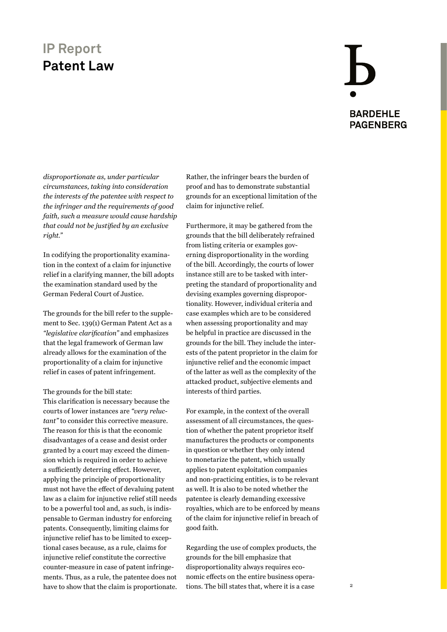# **BARDEHLE PAGENBERG**

*disproportionate as, under particular circumstances, taking into consideration the interests of the patentee with respect to the infringer and the requirements of good faith, such a measure would cause hardship that could not be justified by an exclusive right."*

In codifying the proportionality examination in the context of a claim for injunctive relief in a clarifying manner, the bill adopts the examination standard used by the German Federal Court of Justice.

The grounds for the bill refer to the supplement to Sec. 139(1) German Patent Act as a *"legislative clarification"* and emphasizes that the legal framework of German law already allows for the examination of the proportionality of a claim for injunctive relief in cases of patent infringement.

The grounds for the bill state:

This clarification is necessary because the courts of lower instances are *"very reluctant"* to consider this corrective measure. The reason for this is that the economic disadvantages of a cease and desist order granted by a court may exceed the dimension which is required in order to achieve a sufficiently deterring effect. However, applying the principle of proportionality must not have the effect of devaluing patent law as a claim for injunctive relief still needs to be a powerful tool and, as such, is indispensable to German industry for enforcing patents. Consequently, limiting claims for injunctive relief has to be limited to exceptional cases because, as a rule, claims for injunctive relief constitute the corrective counter-measure in case of patent infringements. Thus, as a rule, the patentee does not have to show that the claim is proportionate.

Rather, the infringer bears the burden of proof and has to demonstrate substantial grounds for an exceptional limitation of the claim for injunctive relief.

Furthermore, it may be gathered from the grounds that the bill deliberately refrained from listing criteria or examples governing disproportionality in the wording of the bill. Accordingly, the courts of lower instance still are to be tasked with interpreting the standard of proportionality and devising examples governing disproportionality. However, individual criteria and case examples which are to be considered when assessing proportionality and may be helpful in practice are discussed in the grounds for the bill. They include the interests of the patent proprietor in the claim for injunctive relief and the economic impact of the latter as well as the complexity of the attacked product, subjective elements and interests of third parties.

For example, in the context of the overall assessment of all circumstances, the question of whether the patent proprietor itself manufactures the products or components in question or whether they only intend to monetarize the patent, which usually applies to patent exploitation companies and non-practicing entities, is to be relevant as well. It is also to be noted whether the patentee is clearly demanding excessive royalties, which are to be enforced by means of the claim for injunctive relief in breach of good faith.

Regarding the use of complex products, the grounds for the bill emphasize that disproportionality always requires economic effects on the entire business operations. The bill states that, where it is a case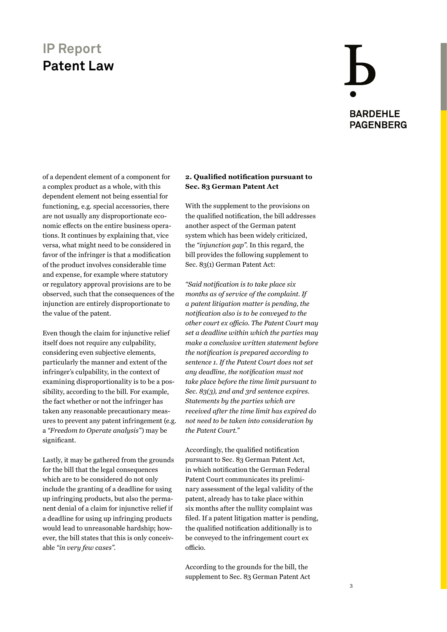# **BARDEHLE PAGENBERG**

of a dependent element of a component for a complex product as a whole, with this dependent element not being essential for functioning, e.g. special accessories, there are not usually any disproportionate economic effects on the entire business operations. It continues by explaining that, vice versa, what might need to be considered in favor of the infringer is that a modification of the product involves considerable time and expense, for example where statutory or regulatory approval provisions are to be observed, such that the consequences of the injunction are entirely disproportionate to the value of the patent.

Even though the claim for injunctive relief itself does not require any culpability, considering even subjective elements, particularly the manner and extent of the infringer's culpability, in the context of examining disproportionality is to be a possibility, according to the bill. For example, the fact whether or not the infringer has taken any reasonable precautionary measures to prevent any patent infringement (e.g. a *"Freedom to Operate analysis"*) may be significant.

Lastly, it may be gathered from the grounds for the bill that the legal consequences which are to be considered do not only include the granting of a deadline for using up infringing products, but also the permanent denial of a claim for injunctive relief if a deadline for using up infringing products would lead to unreasonable hardship; however, the bill states that this is only conceivable *"in very few cases"*.

#### **2. Qualified notification pursuant to Sec. 83 German Patent Act**

With the supplement to the provisions on the qualified notification, the bill addresses another aspect of the German patent system which has been widely criticized, the *"injunction gap"*. In this regard, the bill provides the following supplement to Sec. 83(1) German Patent Act:

*"Said notification is to take place six months as of service of the complaint. If a patent litigation matter is pending, the notification also is to be conveyed to the other court ex officio. The Patent Court may set a deadline within which the parties may make a conclusive written statement before the notification is prepared according to sentence 1. If the Patent Court does not set any deadline, the notification must not take place before the time limit pursuant to Sec. 83(3), 2nd and 3rd sentence expires. Statements by the parties which are received after the time limit has expired do not need to be taken into consideration by the Patent Court."*

Accordingly, the qualified notification pursuant to Sec. 83 German Patent Act, in which notification the German Federal Patent Court communicates its preliminary assessment of the legal validity of the patent, already has to take place within six months after the nullity complaint was filed. If a patent litigation matter is pending, the qualified notification additionally is to be conveyed to the infringement court ex officio.

According to the grounds for the bill, the supplement to Sec. 83 German Patent Act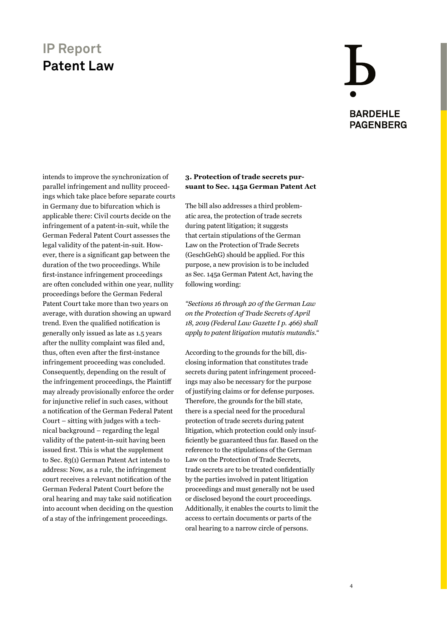## **BARDEHLE PAGENBERG**

intends to improve the synchronization of parallel infringement and nullity proceedings which take place before separate courts in Germany due to bifurcation which is applicable there: Civil courts decide on the infringement of a patent-in-suit, while the German Federal Patent Court assesses the legal validity of the patent-in-suit. However, there is a significant gap between the duration of the two proceedings. While first-instance infringement proceedings are often concluded within one year, nullity proceedings before the German Federal Patent Court take more than two years on average, with duration showing an upward trend. Even the qualified notification is generally only issued as late as 1.5 years after the nullity complaint was filed and, thus, often even after the first-instance infringement proceeding was concluded. Consequently, depending on the result of the infringement proceedings, the Plaintiff may already provisionally enforce the order for injunctive relief in such cases, without a notification of the German Federal Patent Court – sitting with judges with a technical background – regarding the legal validity of the patent-in-suit having been issued first. This is what the supplement to Sec. 83(1) German Patent Act intends to address: Now, as a rule, the infringement court receives a relevant notification of the German Federal Patent Court before the oral hearing and may take said notification into account when deciding on the question of a stay of the infringement proceedings.

#### **3. Protection of trade secrets pursuant to Sec. 145a German Patent Act**

The bill also addresses a third problematic area, the protection of trade secrets during patent litigation; it suggests that certain stipulations of the German Law on the Protection of Trade Secrets (GeschGehG) should be applied. For this purpose, a new provision is to be included as Sec. 145a German Patent Act, having the following wording:

*"Sections 16 through 20 of the German Law on the Protection of Trade Secrets of April 18, 2019 (Federal Law Gazette I p. 466) shall apply to patent litigation mutatis mutandis."*

According to the grounds for the bill, disclosing information that constitutes trade secrets during patent infringement proceedings may also be necessary for the purpose of justifying claims or for defense purposes. Therefore, the grounds for the bill state, there is a special need for the procedural protection of trade secrets during patent litigation, which protection could only insufficiently be guaranteed thus far. Based on the reference to the stipulations of the German Law on the Protection of Trade Secrets, trade secrets are to be treated confidentially by the parties involved in patent litigation proceedings and must generally not be used or disclosed beyond the court proceedings. Additionally, it enables the courts to limit the access to certain documents or parts of the oral hearing to a narrow circle of persons.